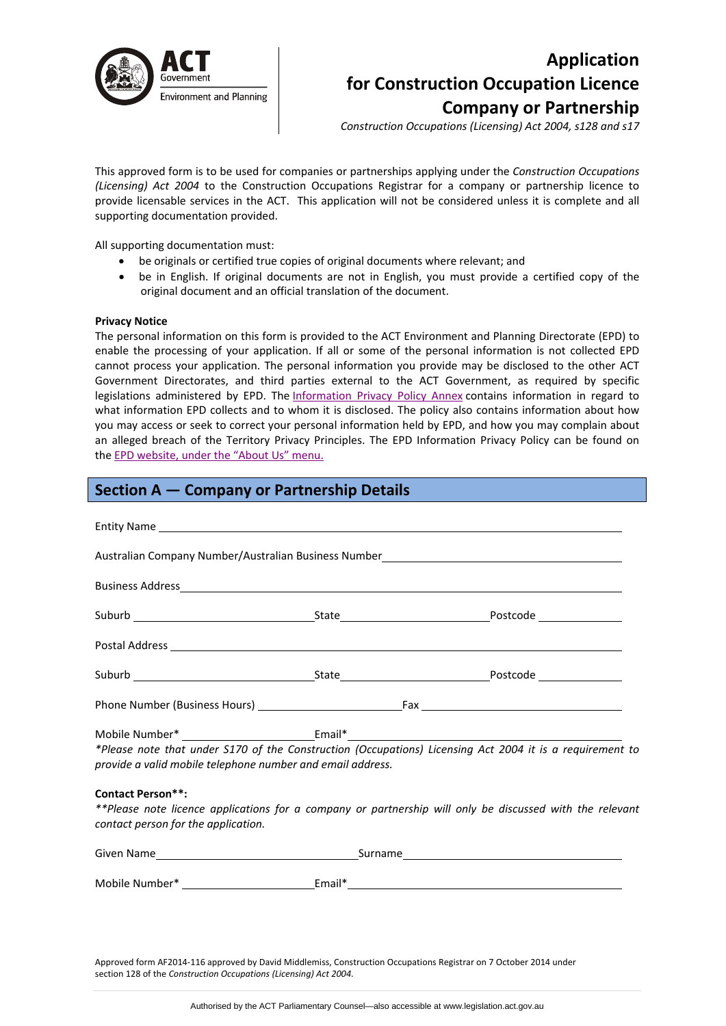

# **Application for Construction Occupation Licence Company or Partnership**

*Construction Occupations (Licensing) Act 2004, s128 and s17*

This approved form is to be used for companies or partnerships applying under the *Construction Occupations (Licensing) Act 2004* to the Construction Occupations Registrar for a company or partnership licence to provide licensable services in the ACT. This application will not be considered unless it is complete and all supporting documentation provided.

All supporting documentation must:

- be originals or certified true copies of original documents where relevant; and
- be in English. If original documents are not in English, you must provide a certified copy of the original document and an official translation of the document.

#### **Privacy Notice**

The personal information on this form is provided to the ACT Environment and Planning Directorate (EPD) to enable the processing of your application. If all or some of the personal information is not collected EPD cannot process your application. The personal information you provide may be disclosed to the other ACT Government Directorates, and third parties external to the ACT Government, as required by specific legislations administered by EPD. The [Information](http://www.environment.act.gov.au/__data/assets/pdf_file/0006/633741/Information-Privacy-Policy-Annex.pdf) Privacy Policy Annex contains information in regard to what information EPD collects and to whom it is disclosed. The policy also contains information about how you may access or seek to correct your personal information held by EPD, and how you may complain about an alleged breach of the Territory Privacy Principles. The EPD Information Privacy Policy can be found on the EPD [website,](http://www.environment.act.gov.au/about/privacy) under the "About Us" menu.

| Section A – Company or Partnership Details                                                                                                     |  |                                                                                                          |  |  |
|------------------------------------------------------------------------------------------------------------------------------------------------|--|----------------------------------------------------------------------------------------------------------|--|--|
|                                                                                                                                                |  |                                                                                                          |  |  |
|                                                                                                                                                |  | Australian Company Number/Australian Business Number_____________________________                        |  |  |
|                                                                                                                                                |  |                                                                                                          |  |  |
|                                                                                                                                                |  |                                                                                                          |  |  |
|                                                                                                                                                |  |                                                                                                          |  |  |
|                                                                                                                                                |  |                                                                                                          |  |  |
|                                                                                                                                                |  |                                                                                                          |  |  |
| Mobile Number* ______________________________Email*_____________________________<br>provide a valid mobile telephone number and email address. |  | *Please note that under S170 of the Construction (Occupations) Licensing Act 2004 it is a requirement to |  |  |
| <b>Contact Person**:</b><br>contact person for the application.                                                                                |  | **Please note licence applications for a company or partnership will only be discussed with the relevant |  |  |
|                                                                                                                                                |  |                                                                                                          |  |  |
|                                                                                                                                                |  |                                                                                                          |  |  |

Approved form AF2014‐116 approved by David Middlemiss, Construction Occupations Registrar on 7 October 2014 under section 128 of the *Construction Occupations (Licensing) Act 2004*.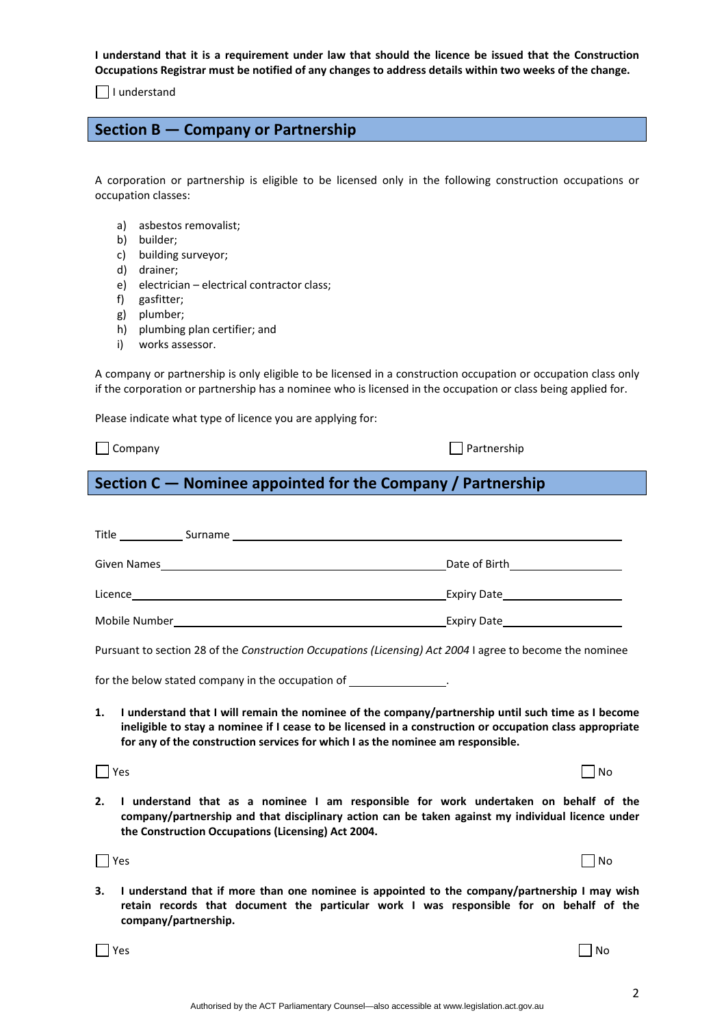Authorised by the ACT Parliamentary Counsel—also accessible at www.legislation.act.gov.au

I understand that it is a requirement under law that should the licence be issued that the Construction Occupations Registrar must be notified of any changes to address details within two weeks of the change.

 $\Box$  I understand

# **Section B — Company or Partnership**

A corporation or partnership is eligible to be licensed only in the following construction occupations or occupation classes:

- a) asbestos removalist;
- b) builder;
- c) building surveyor;
- d) drainer;
- e) electrician electrical contractor class;
- f) gasfitter;
- g) plumber;
- h) plumbing plan certifier; and
- i) works assessor.

A company or partnership is only eligible to be licensed in a construction occupation or occupation class only if the corporation or partnership has a nominee who is licensed in the occupation or class being applied for.

Please indicate what type of licence you are applying for:

 $\Box$  Company  $\Box$   $\Box$  Partnership

# **Section C — Nominee appointed for the Company / Partnership**

| Title         | Surname |                    |
|---------------|---------|--------------------|
| Given Names   |         | Date of Birth      |
| Licence       |         | <b>Expiry Date</b> |
| Mobile Number |         | <b>Expiry Date</b> |

Pursuant to section 28 of the *Construction Occupations (Licensing) Act 2004* I agree to become the nominee

for the below stated company in the occupation of  $\sqrt{ }$ 

1. I understand that I will remain the nominee of the company/partnership until such time as I become ineligible to stay a nominee if I cease to be licensed in a construction or occupation class appropriate **for any of the construction services for which I as the nominee am responsible.**

 $\blacksquare$  No  $\blacksquare$  No  $\blacksquare$  No  $\blacksquare$  No  $\blacksquare$  No  $\blacksquare$  No  $\blacksquare$  No  $\blacksquare$  No  $\blacksquare$  No  $\blacksquare$  No  $\blacksquare$  No  $\blacksquare$  No  $\blacksquare$  No  $\blacksquare$  No  $\blacksquare$  No  $\blacksquare$  No  $\blacksquare$  No  $\blacksquare$  No  $\blacksquare$  No  $\blacksquare$  No  $\blacksquare$  No  $\blacksquare$  No

**2. I understand that as a nominee I am responsible for work undertaken on behalf of the company/partnership and that disciplinary action can be taken against my individual licence under the Construction Occupations (Licensing) Act 2004.**

 $\blacksquare$  No  $\blacksquare$  No  $\blacksquare$  No  $\blacksquare$  No  $\blacksquare$  No  $\blacksquare$  No  $\blacksquare$  No  $\blacksquare$  No  $\blacksquare$  No  $\blacksquare$  No  $\blacksquare$  No  $\blacksquare$  No  $\blacksquare$  No  $\blacksquare$  No  $\blacksquare$  No  $\blacksquare$  No  $\blacksquare$  No  $\blacksquare$  No  $\blacksquare$  No  $\blacksquare$  No  $\blacksquare$  No  $\blacksquare$  No

**3. I understand that if more than one nominee is appointed to the company/partnership I may wish retain records that document the particular work I was responsible for on behalf of the company/partnership.**

 $Y$ es  $\Box$  No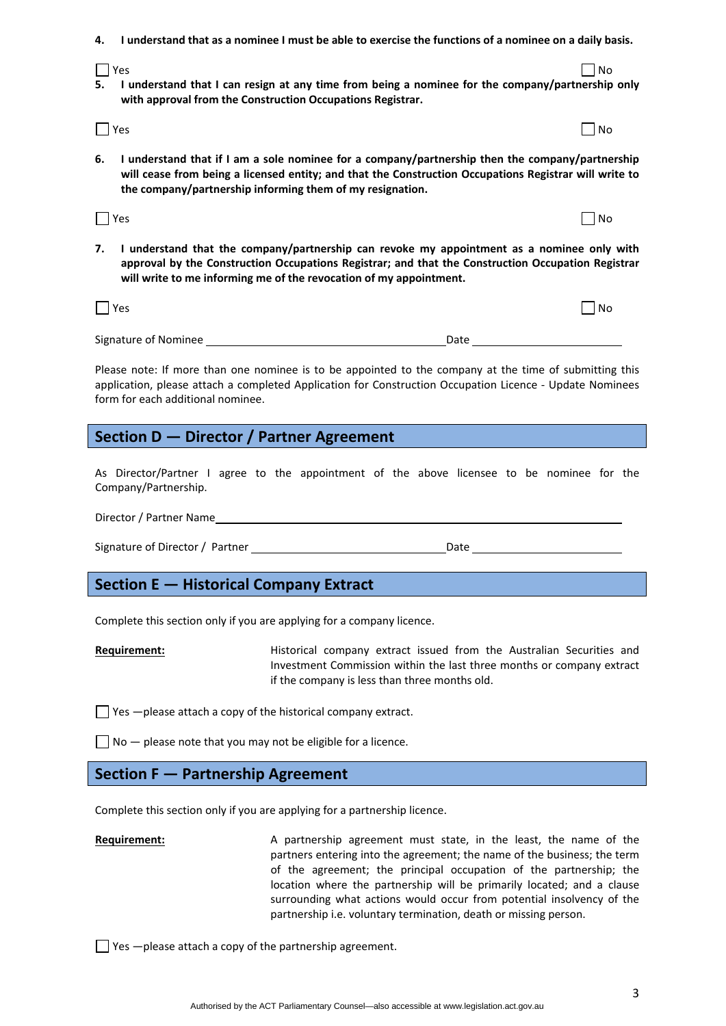- 4. I understand that as a nominee I must be able to exercise the functions of a nominee on a daily basis.
- $Y$ es  $\hskip10mm \bigsqcup$  No 5. I understand that I can resign at any time from being a nominee for the company/partnership only **with approval from the Construction Occupations Registrar.**
- $Y$ es  $\hskip10mm \bigsqcup$  No

**6. I understand that if I am a sole nominee for a company/partnership then the company/partnership will cease from being a licensed entity; and that the Construction Occupations Registrar will write to the company/partnership informing them of my resignation.**

 $\blacksquare$  No  $\blacksquare$  No  $\blacksquare$  No  $\blacksquare$  No  $\blacksquare$  No  $\blacksquare$  No  $\blacksquare$  No  $\blacksquare$  No  $\blacksquare$  No  $\blacksquare$  No  $\blacksquare$  No  $\blacksquare$  No  $\blacksquare$  No  $\blacksquare$  No  $\blacksquare$  No  $\blacksquare$  No  $\blacksquare$  No  $\blacksquare$  No  $\blacksquare$  No  $\blacksquare$  No  $\blacksquare$  No  $\blacksquare$  No

**7. I understand that the company/partnership can revoke my appointment as a nominee only with approval by the Construction Occupations Registrar; and that the Construction Occupation Registrar will write to me informing me of the revocation of my appointment.** 

| $ $   Yes            |      | No |
|----------------------|------|----|
|                      |      |    |
| Signature of Nominee | Date |    |

Please note: If more than one nominee is to be appointed to the company at the time of submitting this application, please attach a completed Application for Construction Occupation Licence ‐ Update Nominees form for each additional nominee.

# **Section D — Director / Partner Agreement**

As Director/Partner I agree to the appointment of the above licensee to be nominee for the Company/Partnership.

Director / Partner Name

Signature of Director / Partner **1996** Market 2014 Market 2014 Market 2014 Market 2014 Market 2014 Market 2014 Market 2014 Market 2014 Market 2014 Market 2014 Market 2014 Market 2014 Market 2014 Market 2014 Market 2014 Mar

# **Section E — Historical Company Extract**

Complete this section only if you are applying for a company licence.

**Requirement: EXECUTE:** Historical company extract issued from the Australian Securities and Investment Commission within the last three months or company extract if the company is less than three months old.

 $\Box$  Yes  $-\rho$  lease attach a copy of the historical company extract.

 $\Box$  No  $-$  please note that you may not be eligible for a licence.

## **Section F — Partnership Agreement**

Complete this section only if you are applying for a partnership licence.

**Requirement: A** partnership agreement must state, in the least, the name of the partners entering into the agreement; the name of the business; the term of the agreement; the principal occupation of the partnership; the location where the partnership will be primarily located; and a clause surrounding what actions would occur from potential insolvency of the partnership i.e. voluntary termination, death or missing person.

 $\Box$  Yes  $-\Box$  please attach a copy of the partnership agreement.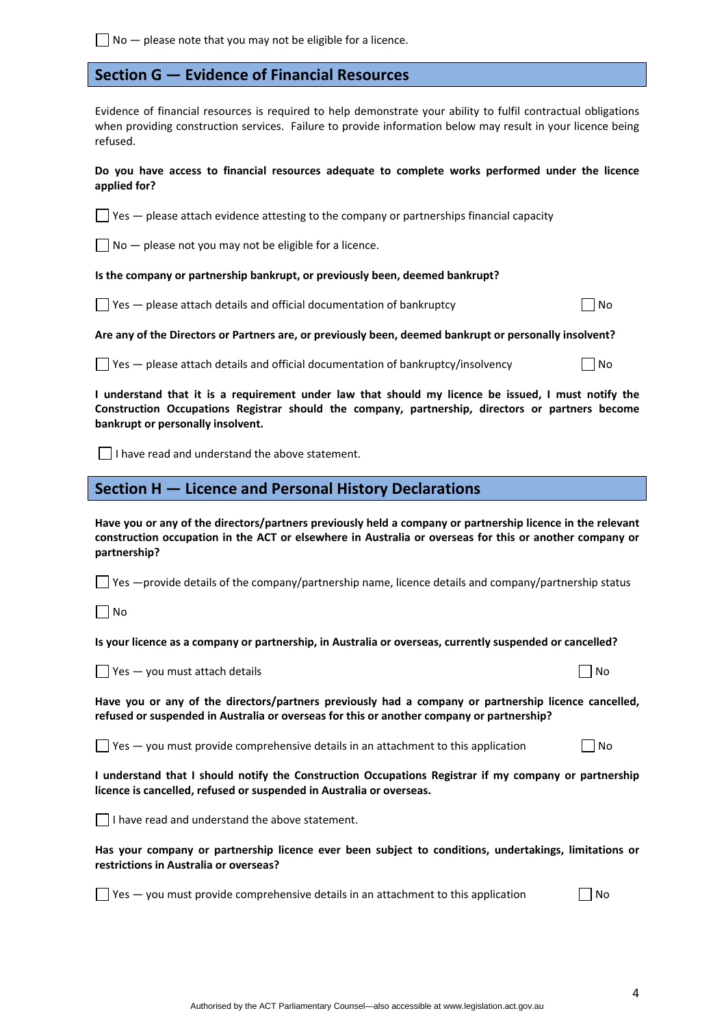$\Box$  No  $-$  please note that you may not be eligible for a licence.

# **Section G — Evidence of Financial Resources**

Evidence of financial resources is required to help demonstrate your ability to fulfil contractual obligations when providing construction services. Failure to provide information below may result in your licence being refused.

**Do you have access to financial resources adequate to complete works performed under the licence applied for?** 

 $\Box$  Yes  $-$  please attach evidence attesting to the company or partnerships financial capacity

 $\Box$  No  $-$  please not you may not be eligible for a licence.

#### **Is the company or partnership bankrupt, or previously been, deemed bankrupt?**

 $\Box$  Yes — please attach details and official documentation of bankruptcy  $\Box$  No

**Are any of the Directors or Partners are, or previously been, deemed bankrupt or personally insolvent?** 

 $\Box$  Yes — please attach details and official documentation of bankruptcy/insolvency  $\Box$  No

I understand that it is a requirement under law that should my licence be issued, I must notify the **Construction Occupations Registrar should the company, partnership, directors or partners become bankrupt or personally insolvent.** 

 $\Box$  I have read and understand the above statement.

# **Section H — Licence and Personal History Declarations**

Have you or any of the directors/partners previously held a company or partnership licence in the relevant **construction occupation in the ACT or elsewhere in Australia or overseas for this or another company or partnership?** 

 $\Box$  Yes —provide details of the company/partnership name, licence details and company/partnership status

 $\Box$  No

Is your licence as a company or partnership, in Australia or overseas, currently suspended or cancelled?

 $\Box$  Yes — you must attach details  $\Box$  No.

|  | ×<br>۹ |
|--|--------|
|  |        |

**Have you or any of the directors/partners previously had a company or partnership licence cancelled, refused or suspended in Australia or overseas for this or another company or partnership?** 

 $\Box$  Yes  $-$  you must provide comprehensive details in an attachment to this application  $\Box$  No

**I understand that I should notify the Construction Occupations Registrar if my company or partnership licence is cancelled, refused or suspended in Australia or overseas.** 

 $\Box$  I have read and understand the above statement.

**Has your company or partnership licence ever been subject to conditions, undertakings, limitations or restrictions in Australia or overseas?** 

 $\Box$  Yes — you must provide comprehensive details in an attachment to this application  $\Box$  No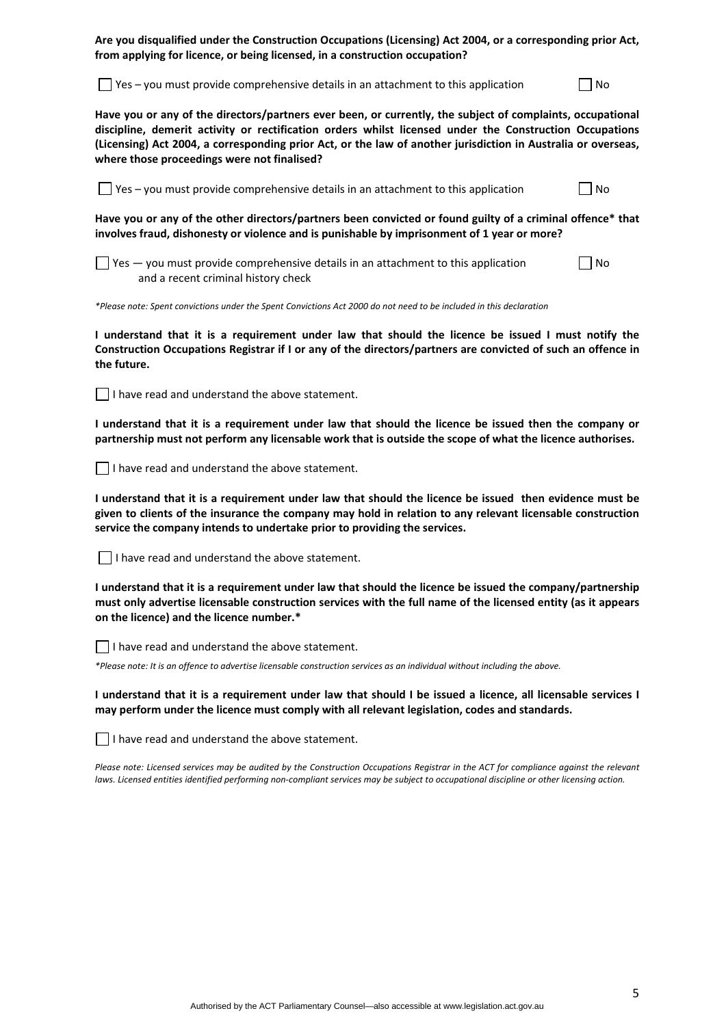**Are you disqualified under the Construction Occupations (Licensing) Act 2004, or a corresponding prior Act, from applying for licence, or being licensed, in a construction occupation?** 

 $\Box$  Yes – you must provide comprehensive details in an attachment to this application  $\Box$  No

**Have you or any of the directors/partners ever been, or currently, the subject of complaints, occupational discipline, demerit activity or rectification orders whilst licensed under the Construction Occupations** (Licensing) Act 2004, a corresponding prior Act, or the law of another jurisdiction in Australia or overseas, **where those proceedings were not finalised?** 

 $\Box$  Yes – you must provide comprehensive details in an attachment to this application  $\Box$  No

Have you or any of the other directors/partners been convicted or found guilty of a criminal offence\* that **involves fraud, dishonesty or violence and is punishable by imprisonment of 1 year or more?** 

 $\Box$  Yes — you must provide comprehensive details in an attachment to this application  $\Box$  No and a recent criminal history check

\*Please note: Spent convictions under the Spent Convictions Act 2000 do not need to be included in this declaration

I understand that it is a requirement under law that should the licence be issued I must notify the Construction Occupations Registrar if I or any of the directors/partners are convicted of such an offence in **the future.** 

 $\Box$  I have read and understand the above statement.

I understand that it is a requirement under law that should the licence be issued then the company or partnership must not perform any licensable work that is outside the scope of what the licence authorises.

 $\Box$  I have read and understand the above statement.

I understand that it is a requirement under law that should the licence be issued then evidence must be given to clients of the insurance the company may hold in relation to any relevant licensable construction **service the company intends to undertake prior to providing the services.** 

 $\Box$  I have read and understand the above statement.

**I understand that it is a requirement under law that should the licence be issued the company/partnership** must only advertise licensable construction services with the full name of the licensed entity (as it appears **on the licence) and the licence number.\*** 

 $\Box$  I have read and understand the above statement.

\*Please note: It is an offence to advertise licensable construction services as an individual without including the above.

I understand that it is a requirement under law that should I be issued a licence, all licensable services I **may perform under the licence must comply with all relevant legislation, codes and standards.** 

I have read and understand the above statement.

Please note: Licensed services may be audited by the Construction Occupations Registrar in the ACT for compliance against the relevant laws. Licensed entities identified performing non-compliant services may be subject to occupational discipline or other licensing action.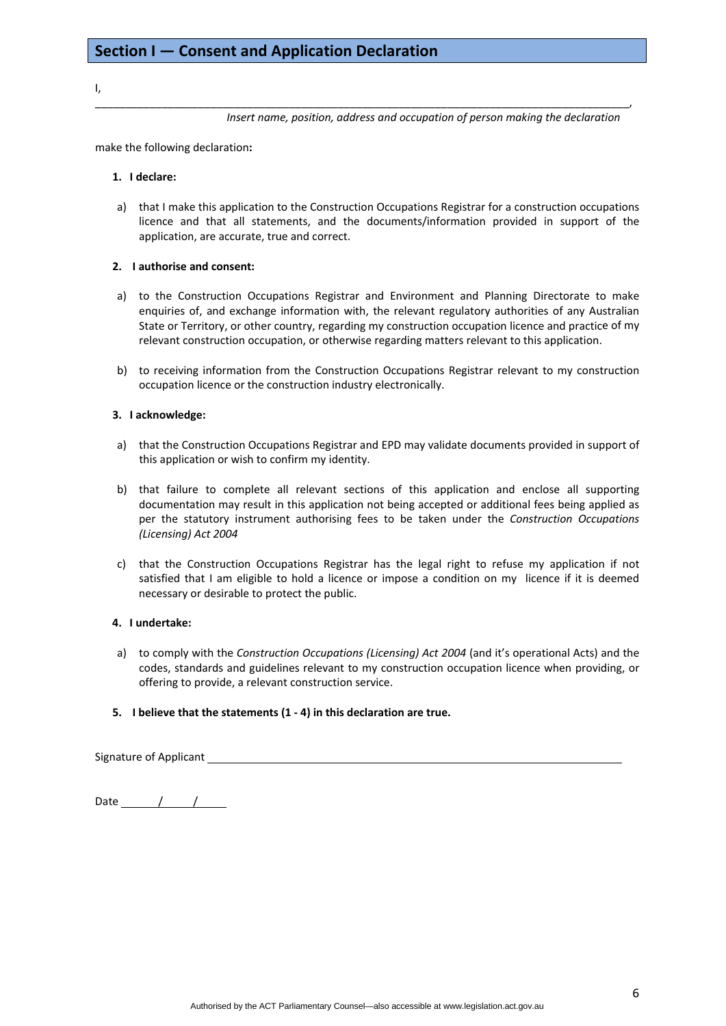#### I,

*Insert name, position, address and occupation of person making the declaration*

make the following declaration**:**

#### **1. I declare:**

a) that I make this application to the Construction Occupations Registrar for a construction occupations licence and that all statements, and the documents/information provided in support of the application, are accurate, true and correct.

\_\_\_\_\_\_\_\_\_\_\_\_\_\_\_\_\_\_\_\_\_\_\_\_\_\_\_\_\_\_\_\_\_\_\_\_\_\_\_\_\_\_\_\_\_\_\_\_\_\_\_\_\_\_\_\_\_\_\_\_\_\_\_\_\_\_\_\_\_\_\_\_\_\_\_\_\_\_\_\_\_\_\_\_\_\_\_\_,

#### **2. I authorise and consent:**

- a) to the Construction Occupations Registrar and Environment and Planning Directorate to make enquiries of, and exchange information with, the relevant regulatory authorities of any Australian State or Territory, or other country, regarding my construction occupation licence and practice of my relevant construction occupation, or otherwise regarding matters relevant to this application.
- b) to receiving information from the Construction Occupations Registrar relevant to my construction occupation licence or the construction industry electronically.

#### **3. I acknowledge:**

- a) that the Construction Occupations Registrar and EPD may validate documents provided in support of this application or wish to confirm my identity.
- b) that failure to complete all relevant sections of this application and enclose all supporting documentation may result in this application not being accepted or additional fees being applied as per the statutory instrument authorising fees to be taken under the *Construction Occupations (Licensing) Act 2004*
- c) that the Construction Occupations Registrar has the legal right to refuse my application if not satisfied that I am eligible to hold a licence or impose a condition on my licence if it is deemed necessary or desirable to protect the public.

#### **4. I undertake:**

a) to comply with the *Construction Occupations (Licensing) Act 2004* (and it's operational Acts) and the codes, standards and guidelines relevant to my construction occupation licence when providing, or offering to provide, a relevant construction service.

## **5. I believe that the statements (1 ‐ 4) in this declaration are true.**

Signature of Applicant

Date / /